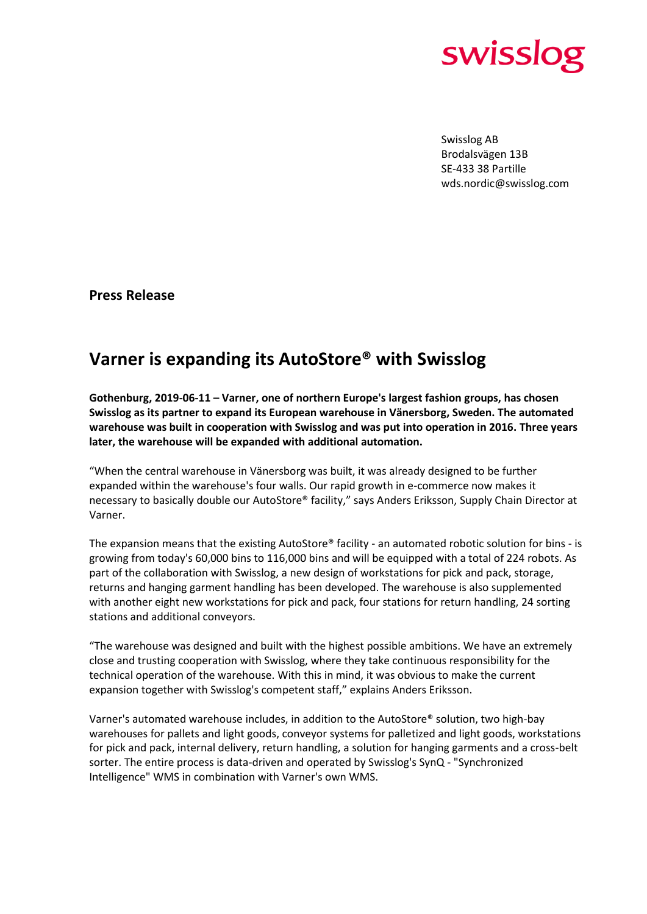

Swisslog AB Brodalsvägen 13B SE-433 38 Partille wds.nordic@swisslog.com

**Press Release**

## **Varner is expanding its AutoStore® with Swisslog**

**Gothenburg, 2019-06-11 – Varner, one of northern Europe's largest fashion groups, has chosen Swisslog as its partner to expand its European warehouse in Vänersborg, Sweden. The automated warehouse was built in cooperation with Swisslog and was put into operation in 2016. Three years later, the warehouse will be expanded with additional automation.**

"When the central warehouse in Vänersborg was built, it was already designed to be further expanded within the warehouse's four walls. Our rapid growth in e-commerce now makes it necessary to basically double our AutoStore® facility," says Anders Eriksson, Supply Chain Director at Varner.

The expansion means that the existing AutoStore® facility - an automated robotic solution for bins - is growing from today's 60,000 bins to 116,000 bins and will be equipped with a total of 224 robots. As part of the collaboration with Swisslog, a new design of workstations for pick and pack, storage, returns and hanging garment handling has been developed. The warehouse is also supplemented with another eight new workstations for pick and pack, four stations for return handling, 24 sorting stations and additional conveyors.

"The warehouse was designed and built with the highest possible ambitions. We have an extremely close and trusting cooperation with Swisslog, where they take continuous responsibility for the technical operation of the warehouse. With this in mind, it was obvious to make the current expansion together with Swisslog's competent staff," explains Anders Eriksson.

Varner's automated warehouse includes, in addition to the AutoStore® solution, two high-bay warehouses for pallets and light goods, conveyor systems for palletized and light goods, workstations for pick and pack, internal delivery, return handling, a solution for hanging garments and a cross-belt sorter. The entire process is data-driven and operated by Swisslog's SynQ - "Synchronized Intelligence" WMS in combination with Varner's own WMS.